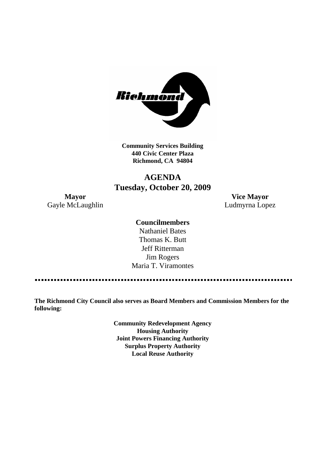

**Community Services Building 440 Civic Center Plaza Richmond, CA 94804**

## **AGENDA Tuesday, October 20, 2009**

**Mayor Vice Mayor** Gayle McLaughlin **Ludmyrna Lopez** 

## **Councilmembers**

Nathaniel Bates Thomas K. Butt Jeff Ritterman Jim Rogers Maria T. Viramontes

**The Richmond City Council also serves as Board Members and Commission Members for the following:**

> **Community Redevelopment Agency Housing Authority Joint Powers Financing Authority Surplus Property Authority Local Reuse Authority**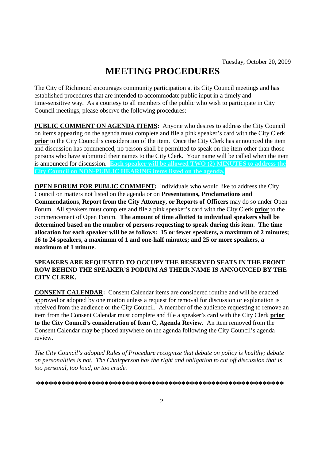# **MEETING PROCEDURES**

The City of Richmond encourages community participation at its City Council meetings and has established procedures that are intended to accommodate public input in a timely and time-sensitive way. As a courtesy to all members of the public who wish to participate in City Council meetings, please observe the following procedures:

**PUBLIC COMMENT ON AGENDA ITEMS:** Anyone who desires to address the City Council on items appearing on the agenda must complete and file a pink speaker's card with the City Clerk **prior** to the City Council's consideration of the item. Once the City Clerk has announced the item and discussion has commenced, no person shall be permitted to speak on the item other than those persons who have submitted their names to the City Clerk. Your name will be called when the item is announced for discussion. **Each speaker will be allowed TWO (2) MINUTES to address the City Council on NON-PUBLIC HEARING items listed on the agenda.**

**OPEN FORUM FOR PUBLIC COMMENT:** Individuals who would like to address the City Council on matters not listed on the agenda or on **Presentations, Proclamations and Commendations, Report from the City Attorney, or Reports of Officers** may do so under Open Forum. All speakers must complete and file a pink speaker's card with the City Clerk **prior** to the commencement of Open Forum. **The amount of time allotted to individual speakers shall be determined based on the number of persons requesting to speak during this item. The time allocation for each speaker will be as follows: 15 or fewer speakers, a maximum of 2 minutes; 16 to 24 speakers, a maximum of 1 and one-half minutes; and 25 or more speakers, a maximum of 1 minute.**

### **SPEAKERS ARE REQUESTED TO OCCUPY THE RESERVED SEATS IN THE FRONT ROW BEHIND THE SPEAKER'S PODIUM AS THEIR NAME IS ANNOUNCED BY THE CITY CLERK.**

**CONSENT CALENDAR:** Consent Calendar items are considered routine and will be enacted, approved or adopted by one motion unless a request for removal for discussion or explanation is received from the audience or the City Council. A member of the audience requesting to remove an item from the Consent Calendar must complete and file a speaker's card with the City Clerk **prior to the City Council's consideration of Item C, Agenda Review.** An item removed from the Consent Calendar may be placed anywhere on the agenda following the City Council's agenda review.

*The City Council's adopted Rules of Procedure recognize that debate on policy is healthy; debate on personalities is not. The Chairperson has the right and obligation to cut off discussion that is too personal, too loud, or too crude.*

**\*\*\*\*\*\*\*\*\*\*\*\*\*\*\*\*\*\*\*\*\*\*\*\*\*\*\*\*\*\*\*\*\*\*\*\*\*\*\*\*\*\*\*\*\*\*\*\*\*\*\*\*\*\*\*\*\*\***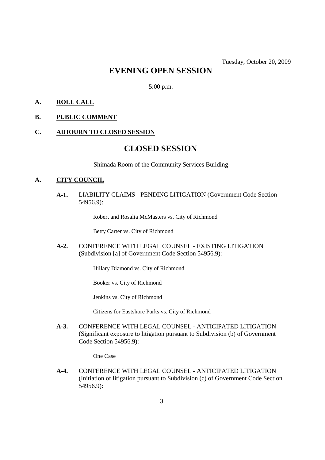## **EVENING OPEN SESSION**

5:00 p.m.

## **A. ROLL CALL**

## **B. PUBLIC COMMENT**

#### **C. ADJOURN TO CLOSED SESSION**

## **CLOSED SESSION**

Shimada Room of the Community Services Building

#### **A. CITY COUNCIL**

**A-1.** LIABILITY CLAIMS - PENDING LITIGATION (Government Code Section 54956.9):

Robert and Rosalia McMasters vs. City of Richmond

Betty Carter vs. City of Richmond

**A-2.** CONFERENCE WITH LEGAL COUNSEL - EXISTING LITIGATION (Subdivision [a] of Government Code Section 54956.9):

Hillary Diamond vs. City of Richmond

Booker vs. City of Richmond

Jenkins vs. City of Richmond

Citizens for Eastshore Parks vs. City of Richmond

**A-3.** CONFERENCE WITH LEGAL COUNSEL - ANTICIPATED LITIGATION (Significant exposure to litigation pursuant to Subdivision (b) of Government Code Section 54956.9):

One Case

**A-4.** CONFERENCE WITH LEGAL COUNSEL - ANTICIPATED LITIGATION (Initiation of litigation pursuant to Subdivision (c) of Government Code Section 54956.9):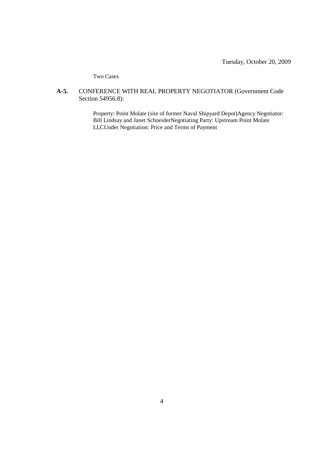Tuesday, October 20, 2009

Two Cases

### **A-5.** CONFERENCE WITH REAL PROPERTY NEGOTIATOR (Government Code Section 54956.8):

Property: Point Molate (site of former Naval Shipyard Depot)Agency Negotiator: Bill Lindsay and Janet SchneiderNegotiating Party: Upstream Point Molate LLCUnder Negotiation: Price and Terms of Payment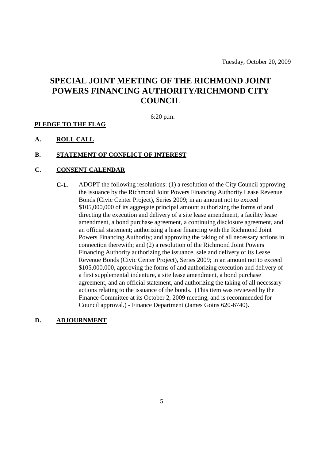## **SPECIAL JOINT MEETING OF THE RICHMOND JOINT POWERS FINANCING AUTHORITY/RICHMOND CITY COUNCIL**

6:20 p.m.

#### **PLEDGE TO THE FLAG**

### **A. ROLL CALL**

#### **B. STATEMENT OF CONFLICT OF INTEREST**

#### **C. CONSENT CALENDAR**

**C-1.** ADOPT the following resolutions: (1) a resolution of the City Council approving the issuance by the Richmond Joint Powers Financing Authority Lease Revenue Bonds (Civic Center Project), Series 2009; in an amount not to exceed \$105,000,000 of its aggregate principal amount authorizing the forms of and directing the execution and delivery of a site lease amendment, a facility lease amendment, a bond purchase agreement, a continuing disclosure agreement, and an official statement; authorizing a lease financing with the Richmond Joint Powers Financing Authority; and approving the taking of all necessary actions in connection therewith; and (2) a resolution of the Richmond Joint Powers Financing Authority authorizing the issuance, sale and delivery of its Lease Revenue Bonds (Civic Center Project), Series 2009; in an amount not to exceed \$105,000,000, approving the forms of and authorizing execution and delivery of a first supplemental indenture, a site lease amendment, a bond purchase agreement, and an official statement, and authorizing the taking of all necessary actions relating to the issuance of the bonds. (This item was reviewed by the Finance Committee at its October 2, 2009 meeting, and is recommended for Council approval.) - Finance Department (James Goins 620-6740).

#### **D. ADJOURNMENT**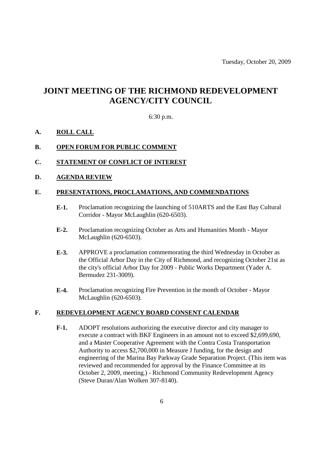## **JOINT MEETING OF THE RICHMOND REDEVELOPMENT AGENCY/CITY COUNCIL**

#### 6:30 p.m.

#### **A. ROLL CALL**

### **B. OPEN FORUM FOR PUBLIC COMMENT**

- **C. STATEMENT OF CONFLICT OF INTEREST**
- **D. AGENDA REVIEW**

#### **E. PRESENTATIONS, PROCLAMATIONS, AND COMMENDATIONS**

- **E-1.** Proclamation recognizing the launching of 510ARTS and the East Bay Cultural Corridor - Mayor McLaughlin (620-6503).
- **E-2.** Proclamation recognizing October as Arts and Humanities Month Mayor McLaughlin (620-6503).
- **E-3.** APPROVE a proclamation commemorating the third Wednesday in October as the Official Arbor Day in the City of Richmond, and recognizing October 21st as the city's official Arbor Day for 2009 - Public Works Department (Yader A. Bermudez 231-3009).
- **E-4.** Proclamation recognizing Fire Prevention in the month of October Mayor McLaughlin (620-6503).

#### **F. REDEVELOPMENT AGENCY BOARD CONSENT CALENDAR**

**F-1.** ADOPT resolutions authorizing the executive director and city manager to execute a contract with BKF Engineers in an amount not to exceed \$2,699,690, and a Master Cooperative Agreement with the Contra Costa Transportation Authority to access \$2,700,000 in Measure J funding, for the design and engineering of the Marina Bay Parkway Grade Separation Project. (This item was reviewed and recommended for approval by the Finance Committee at its October 2, 2009, meeting.) - Richmond Community Redevelopment Agency (Steve Duran/Alan Wolken 307-8140).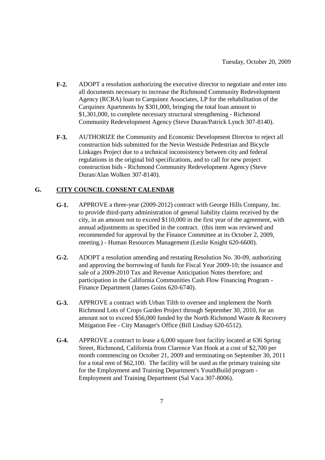- **F-2.** ADOPT a resolution authorizing the executive director to negotiate and enter into all documents necessary to increase the Richmond Community Redevelopment Agency (RCRA) loan to Carquinez Associates, LP for the rehabilitation of the Carquinez Apartments by \$301,000, bringing the total loan amount to \$1,301,000, to complete necessary structural strengthening - Richmond Community Redevelopment Agency (Steve Duran/Patrick Lynch 307-8140).
- **F-3.** AUTHORIZE the Community and Economic Development Director to reject all construction bids submitted for the Nevin Westside Pedestrian and Bicycle Linkages Project due to a technical inconsistency between city and federal regulations in the original bid specifications, and to call for new project construction bids - Richmond Community Redevelopment Agency (Steve Duran/Alan Wolken 307-8140).

## **G. CITY COUNCIL CONSENT CALENDAR**

- **G-1.** APPROVE a three-year (2009-2012) contract with George Hills Company, Inc. to provide third-party administration of general liability claims received by the city, in an amount not to exceed \$110,000 in the first year of the agreement, with annual adjustments as specified in the contract. (this item was reviewed and recommended for approval by the Finance Committee at its October 2, 2009, meeting.) - Human Resources Management (Leslie Knight 620-6600).
- **G-2.** ADOPT a resolution amending and restating Resolution No. 30-09, authorizing and approving the borrowing of funds for Fiscal Year 2009-10; the issuance and sale of a 2009-2010 Tax and Revenue Anticipation Notes therefore; and participation in the California Communities Cash Flow Financing Program - Finance Department (James Goins 620-6740).
- **G-3.** APPROVE a contract with Urban Tilth to oversee and implement the North Richmond Lots of Crops Garden Project through September 30, 2010, for an amount not to exceed \$56,000 funded by the North Richmond Waste & Recovery Mitigation Fee - City Manager's Office (Bill Lindsay 620-6512).
- **G-4.** APPROVE a contract to lease a 6,000 square foot facility located at 636 Spring Street, Richmond, California from Clarence Van Hook at a cost of \$2,700 per month commencing on October 21, 2009 and terminating on September 30, 2011 for a total rent of \$62,100. The facility will be used as the primary training site for the Employment and Training Department's YouthBuild program - Employment and Training Department (Sal Vaca 307-8006).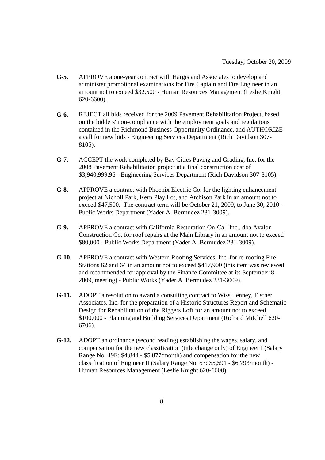- **G-5.** APPROVE a one-year contract with Hargis and Associates to develop and administer promotional examinations for Fire Captain and Fire Engineer in an amount not to exceed \$32,500 - Human Resources Management (Leslie Knight 620-6600).
- **G-6.** REJECT all bids received for the 2009 Pavement Rehabilitation Project, based on the bidders' non-compliance with the employment goals and regulations contained in the Richmond Business Opportunity Ordinance, and AUTHORIZE a call for new bids - Engineering Services Department (Rich Davidson 307- 8105).
- **G-7.** ACCEPT the work completed by Bay Cities Paving and Grading, Inc. for the 2008 Pavement Rehabilitation project at a final construction cost of \$3,940,999.96 - Engineering Services Department (Rich Davidson 307-8105).
- **G-8.** APPROVE a contract with Phoenix Electric Co. for the lighting enhancement project at Nicholl Park, Kern Play Lot, and Atchison Park in an amount not to exceed \$47,500. The contract term will be October 21, 2009, to June 30, 2010 - Public Works Department (Yader A. Bermudez 231-3009).
- **G-9.** APPROVE a contract with California Restoration On-Call Inc., dba Avalon Construction Co. for roof repairs at the Main Library in an amount not to exceed \$80,000 - Public Works Department (Yader A. Bermudez 231-3009).
- **G-10.** APPROVE a contract with Western Roofing Services, Inc. for re-roofing Fire Stations 62 and 64 in an amount not to exceed \$417,900 (this item was reviewed and recommended for approval by the Finance Committee at its September 8, 2009, meeting) - Public Works (Yader A. Bermudez 231-3009).
- **G-11.** ADOPT a resolution to award a consulting contract to Wiss, Jenney, Elstner Associates, Inc. for the preparation of a Historic Structures Report and Schematic Design for Rehabilitation of the Riggers Loft for an amount not to exceed \$100,000 - Planning and Building Services Department (Richard Mitchell 620- 6706).
- **G-12.** ADOPT an ordinance (second reading) establishing the wages, salary, and compensation for the new classification (title change only) of Engineer I (Salary Range No. 49E: \$4,844 - \$5,877/month) and compensation for the new classification of Engineer II (Salary Range No. 53: \$5,591 - \$6,793/month) - Human Resources Management (Leslie Knight 620-6600).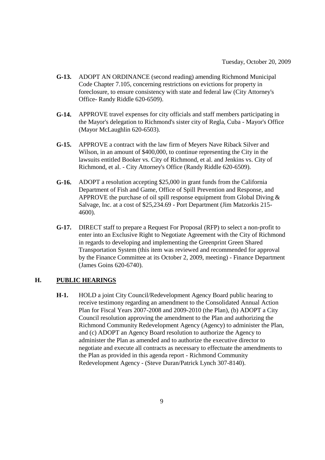- **G-13.** ADOPT AN ORDINANCE (second reading) amending Richmond Municipal Code Chapter 7.105, concerning restrictions on evictions for property in foreclosure, to ensure consistency with state and federal law (City Attorney's Office- Randy Riddle 620-6509).
- **G-14.** APPROVE travel expenses for city officials and staff members participating in the Mayor's delegation to Richmond's sister city of Regla, Cuba - Mayor's Office (Mayor McLaughlin 620-6503).
- **G-15.** APPROVE a contract with the law firm of Meyers Nave Riback Silver and Wilson, in an amount of \$400,000, to continue representing the City in the lawsuits entitled Booker vs. City of Richmond, et al. and Jenkins vs. City of Richmond, et al. - City Attorney's Office (Randy Riddle 620-6509).
- **G-16.** ADOPT a resolution accepting \$25,000 in grant funds from the California Department of Fish and Game, Office of Spill Prevention and Response, and APPROVE the purchase of oil spill response equipment from Global Diving  $\&$ Salvage, Inc. at a cost of \$25,234.69 - Port Department (Jim Matzorkis 215- 4600).
- **G-17.** DIRECT staff to prepare a Request For Proposal (RFP) to select a non-profit to enter into an Exclusive Right to Negotiate Agreement with the City of Richmond in regards to developing and implementing the Greenprint Green Shared Transportation System (this item was reviewed and recommended for approval by the Finance Committee at its October 2, 2009, meeting) - Finance Department (James Goins 620-6740).

## **H. PUBLIC HEARINGS**

**H-1.** HOLD a joint City Council/Redevelopment Agency Board public hearing to receive testimony regarding an amendment to the Consolidated Annual Action Plan for Fiscal Years 2007-2008 and 2009-2010 (the Plan), (b) ADOPT a City Council resolution approving the amendment to the Plan and authorizing the Richmond Community Redevelopment Agency (Agency) to administer the Plan, and (c) ADOPT an Agency Board resolution to authorize the Agency to administer the Plan as amended and to authorize the executive director to negotiate and execute all contracts as necessary to effectuate the amendments to the Plan as provided in this agenda report - Richmond Community Redevelopment Agency - (Steve Duran/Patrick Lynch 307-8140).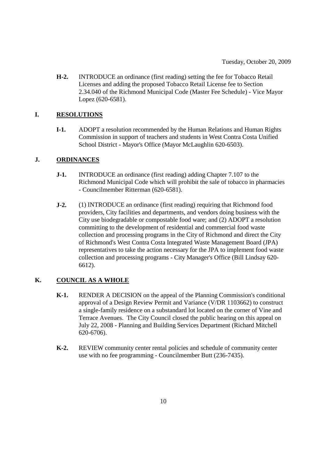**H-2.** INTRODUCE an ordinance (first reading) setting the fee for Tobacco Retail Licenses and adding the proposed Tobacco Retail License fee to Section 2.34.040 of the Richmond Municipal Code (Master Fee Schedule) - Vice Mayor Lopez (620-6581).

## **I. RESOLUTIONS**

**I-1.** ADOPT a resolution recommended by the Human Relations and Human Rights Commission in support of teachers and students in West Contra Costa Unified School District - Mayor's Office (Mayor McLaughlin 620-6503).

## **J. ORDINANCES**

- **J-1.** INTRODUCE an ordinance (first reading) adding Chapter 7.107 to the Richmond Municipal Code which will prohibit the sale of tobacco in pharmacies - Councilmember Ritterman (620-6581).
- **J-2.** (1) INTRODUCE an ordinance (first reading) requiring that Richmond food providers, City facilities and departments, and vendors doing business with the City use biodegradable or compostable food ware; and (2) ADOPT a resolution committing to the development of residential and commercial food waste collection and processing programs in the City of Richmond and direct the City of Richmond's West Contra Costa Integrated Waste Management Board (JPA) representatives to take the action necessary for the JPA to implement food waste collection and processing programs - City Manager's Office (Bill Lindsay 620- 6612).

## **K. COUNCIL AS A WHOLE**

- **K-1.** RENDER A DECISION on the appeal of the Planning Commission's conditional approval of a Design Review Permit and Variance (V/DR 1103662) to construct a single-family residence on a substandard lot located on the corner of Vine and Terrace Avenues. The City Council closed the public hearing on this appeal on July 22, 2008 - Planning and Building Services Department (Richard Mitchell 620-6706).
- **K-2.** REVIEW community center rental policies and schedule of community center use with no fee programming - Councilmember Butt (236-7435).